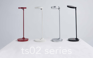

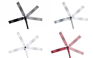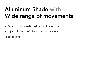# Aluminum Shade with Wide range of movements

- Metallic round shade design with fine texture
- Adjustable angle of 210° suitable for various applications

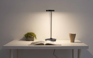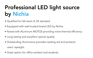## Professional LED light source by Nichia

- Qualified for AA level of JIS standard
- Equipped with well-trusted brand LED by Nichia
- Paired with Aluminum MCPCB providing more thermal efficiency
- Long lasting and excellent optical quality
- Outstanding illuminance provides reading aid and protects users' eyesight
- Great option for office workers and students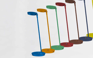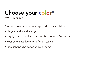- Various color arrangements provide distinct styles
- Elegant and stylish design
- Highly praised and appreciated by clients in Europe and Japan
- Four colors available for different tastes
- Fine lighting choice for office or home

## Choose your color\* \*MOQ required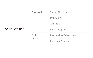|                | <b>Materials</b>    | Shade: Aluminum       |
|----------------|---------------------|-----------------------|
|                |                     | Diffuser: PC          |
|                |                     | Arm: Iron             |
| Specifications |                     | Base: Iron, plastic   |
|                | Color<br>(Standard) | Black / white / slive |
|                |                     | burgundy / green      |

### er / pink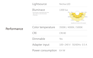#### Nichia LED

1300 lux

### Performance

| Color temperature       | 3500K         |  |
|-------------------------|---------------|--|
| <b>CRI</b>              | <b>CRI 80</b> |  |
| Dimmable                | Yes           |  |
| Adapter input           | $100 - 2$     |  |
| Power consumption 8.4 W |               |  |



#### 240 V 50/60Hz 0.5 A

### Lightsource

### Illuminace

\*The test data is measured by 40cm from desk surface to center illumination of the lamp.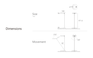



### Dimensions